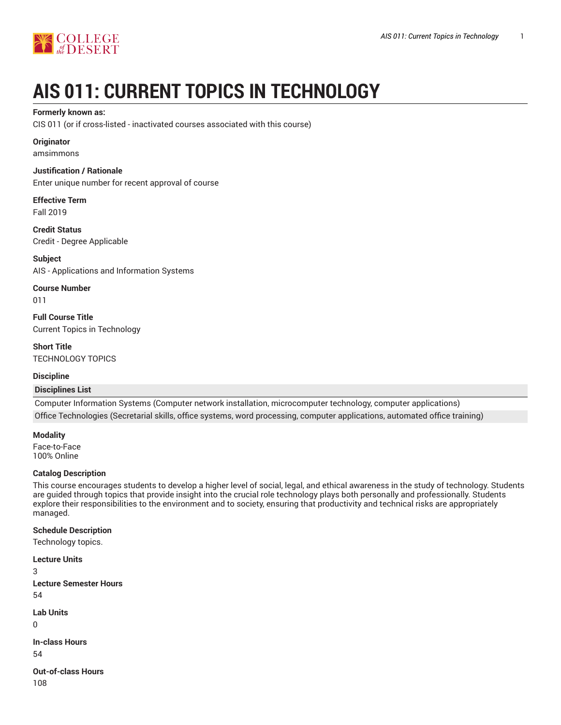

# **AIS 011: CURRENT TOPICS IN TECHNOLOGY**

#### **Formerly known as:**

CIS 011 (or if cross-listed - inactivated courses associated with this course)

## **Originator**

amsimmons

#### **Justification / Rationale**

Enter unique number for recent approval of course

#### **Effective Term** Fall 2019

**Credit Status** Credit - Degree Applicable

**Subject** AIS - Applications and Information Systems

**Course Number** 011

**Full Course Title** Current Topics in Technology

**Short Title** TECHNOLOGY TOPICS

# **Discipline**

# **Disciplines List**

Computer Information Systems (Computer network installation, microcomputer technology, computer applications) Office Technologies (Secretarial skills, office systems, word processing, computer applications, automated office training)

**Modality**

Face-to-Face 100% Online

# **Catalog Description**

This course encourages students to develop a higher level of social, legal, and ethical awareness in the study of technology. Students are guided through topics that provide insight into the crucial role technology plays both personally and professionally. Students explore their responsibilities to the environment and to society, ensuring that productivity and technical risks are appropriately managed.

#### **Schedule Description**

Technology topics.

**Lecture Units** 3 **Lecture Semester Hours** 54 **Lab Units**  $\Omega$ **In-class Hours** 54

**Out-of-class Hours** 108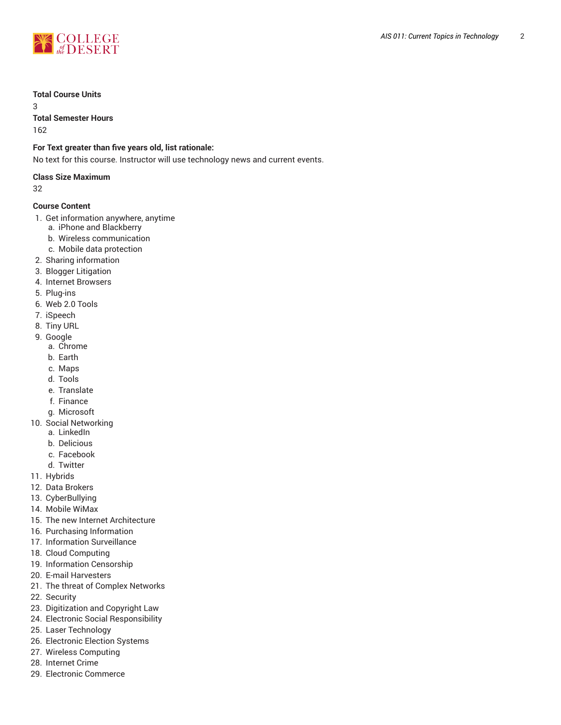

#### **Total Course Units**

3

**Total Semester Hours**

162

# **For Text greater than five years old, list rationale:**

No text for this course. Instructor will use technology news and current events.

## **Class Size Maximum**

32

# **Course Content**

- 1. Get information anywhere, anytime
	- a. iPhone and Blackberry
	- b. Wireless communication
	- c. Mobile data protection
- 2. Sharing information
- 3. Blogger Litigation
- 4. Internet Browsers
- 5. Plug-ins
- 6. Web 2.0 Tools
- 7. iSpeech
- 8. Tiny URL
- 9. Google
	- a. Chrome
	- b. Earth
	- c. Maps
	- d. Tools
	- e. Translate
	- f. Finance
	- g. Microsoft
- 10. Social Networking
	- a. LinkedIn
	- b. Delicious
	- c. Facebook
	- d. Twitter
- 11. Hybrids
- 12. Data Brokers
- 13. CyberBullying
- 14. Mobile WiMax
- 15. The new Internet Architecture
- 16. Purchasing Information
- 17. Information Surveillance
- 18. Cloud Computing
- 19. Information Censorship
- 20. E-mail Harvesters
- 21. The threat of Complex Networks
- 22. Security
- 23. Digitization and Copyright Law
- 24. Electronic Social Responsibility
- 25. Laser Technology
- 26. Electronic Election Systems
- 27. Wireless Computing
- 28. Internet Crime
- 29. Electronic Commerce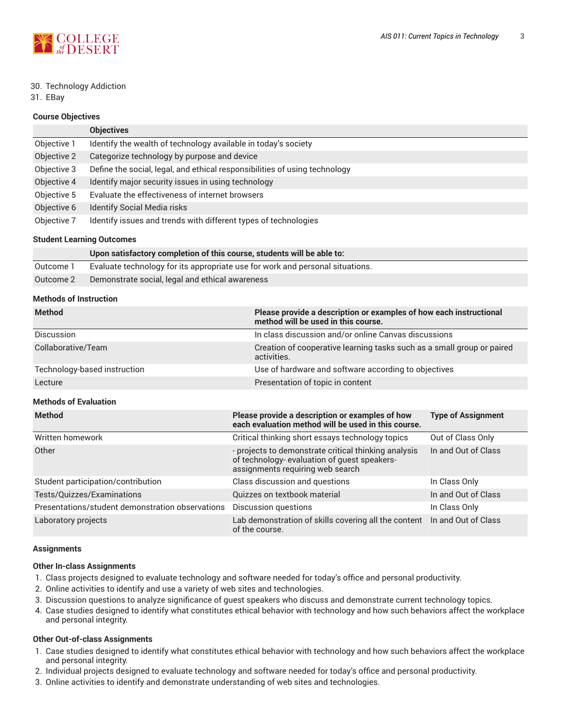

#### 30. Technology Addiction

31. EBay

#### **Course Objectives**

|             | <b>Objectives</b>                                                          |
|-------------|----------------------------------------------------------------------------|
| Objective 1 | Identify the wealth of technology available in today's society             |
| Objective 2 | Categorize technology by purpose and device                                |
| Objective 3 | Define the social, legal, and ethical responsibilities of using technology |
| Objective 4 | Identify major security issues in using technology                         |
| Objective 5 | Evaluate the effectiveness of internet browsers                            |
| Objective 6 | <b>Identify Social Media risks</b>                                         |
| Objective 7 | Identify issues and trends with different types of technologies            |

#### **Student Learning Outcomes**

|           | Upon satisfactory completion of this course, students will be able to:        |
|-----------|-------------------------------------------------------------------------------|
| Outcome 1 | Evaluate technology for its appropriate use for work and personal situations. |
| Outcome 2 | Demonstrate social, legal and ethical awareness                               |

# **Methods of Instruction**

| <b>Method</b>                | Please provide a description or examples of how each instructional<br>method will be used in this course. |
|------------------------------|-----------------------------------------------------------------------------------------------------------|
| <b>Discussion</b>            | In class discussion and/or online Canvas discussions                                                      |
| Collaborative/Team           | Creation of cooperative learning tasks such as a small group or paired<br>activities.                     |
| Technology-based instruction | Use of hardware and software according to objectives                                                      |
| Lecture                      | Presentation of topic in content                                                                          |

# **Methods of Evaluation**

| <b>Method</b>                                    | Please provide a description or examples of how<br>each evaluation method will be used in this course.                                   | <b>Type of Assignment</b> |
|--------------------------------------------------|------------------------------------------------------------------------------------------------------------------------------------------|---------------------------|
| Written homework                                 | Critical thinking short essays technology topics                                                                                         | Out of Class Only         |
| Other                                            | - projects to demonstrate critical thinking analysis<br>of technology- evaluation of quest speakers-<br>assignments requiring web search | In and Out of Class       |
| Student participation/contribution               | Class discussion and questions                                                                                                           | In Class Only             |
| Tests/Quizzes/Examinations                       | Quizzes on textbook material                                                                                                             | In and Out of Class       |
| Presentations/student demonstration observations | Discussion questions                                                                                                                     | In Class Only             |
| Laboratory projects                              | Lab demonstration of skills covering all the content In and Out of Class<br>of the course.                                               |                           |

#### **Assignments**

# **Other In-class Assignments**

- 1. Class projects designed to evaluate technology and software needed for today's office and personal productivity.
- 2. Online activities to identify and use a variety of web sites and technologies.
- 3. Discussion questions to analyze significance of guest speakers who discuss and demonstrate current technology topics.
- 4. Case studies designed to identify what constitutes ethical behavior with technology and how such behaviors affect the workplace and personal integrity.

# **Other Out-of-class Assignments**

- 1. Case studies designed to identify what constitutes ethical behavior with technology and how such behaviors affect the workplace and personal integrity.
- 2. Individual projects designed to evaluate technology and software needed for today's office and personal productivity.
- 3. Online activities to identify and demonstrate understanding of web sites and technologies.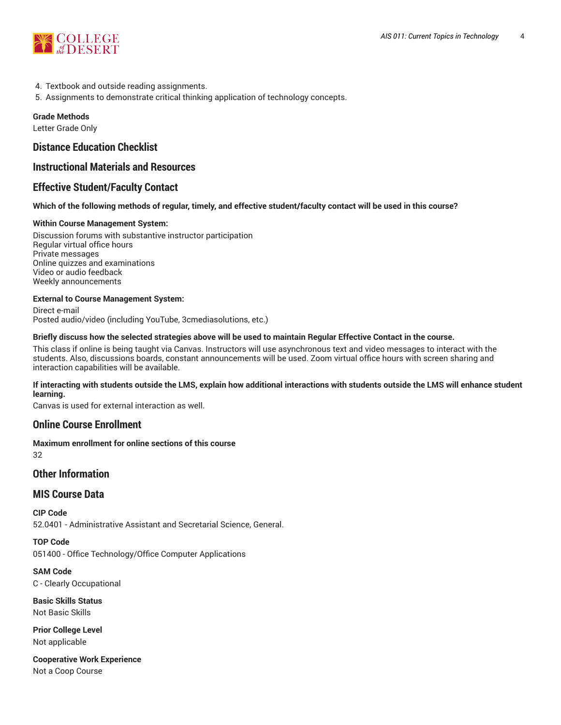

- 4. Textbook and outside reading assignments.
- 5. Assignments to demonstrate critical thinking application of technology concepts.

#### **Grade Methods**

Letter Grade Only

# **Distance Education Checklist**

# **Instructional Materials and Resources**

# **Effective Student/Faculty Contact**

#### Which of the following methods of regular, timely, and effective student/faculty contact will be used in this course?

#### **Within Course Management System:**

Discussion forums with substantive instructor participation Regular virtual office hours Private messages Online quizzes and examinations Video or audio feedback Weekly announcements

#### **External to Course Management System:**

Direct e-mail Posted audio/video (including YouTube, 3cmediasolutions, etc.)

#### Briefly discuss how the selected strategies above will be used to maintain Regular Effective Contact in the course.

This class if online is being taught via Canvas. Instructors will use asynchronous text and video messages to interact with the students. Also, discussions boards, constant announcements will be used. Zoom virtual office hours with screen sharing and interaction capabilities will be available.

#### **If interacting with students outside the LMS, explain how additional interactions with students outside the LMS will enhance student learning.**

Canvas is used for external interaction as well.

# **Online Course Enrollment**

**Maximum enrollment for online sections of this course** 32

# **Other Information**

# **MIS Course Data**

**CIP Code** 52.0401 - Administrative Assistant and Secretarial Science, General.

**TOP Code** 051400 - Office Technology/Office Computer Applications

**SAM Code** C - Clearly Occupational

**Basic Skills Status** Not Basic Skills

**Prior College Level** Not applicable

**Cooperative Work Experience** Not a Coop Course